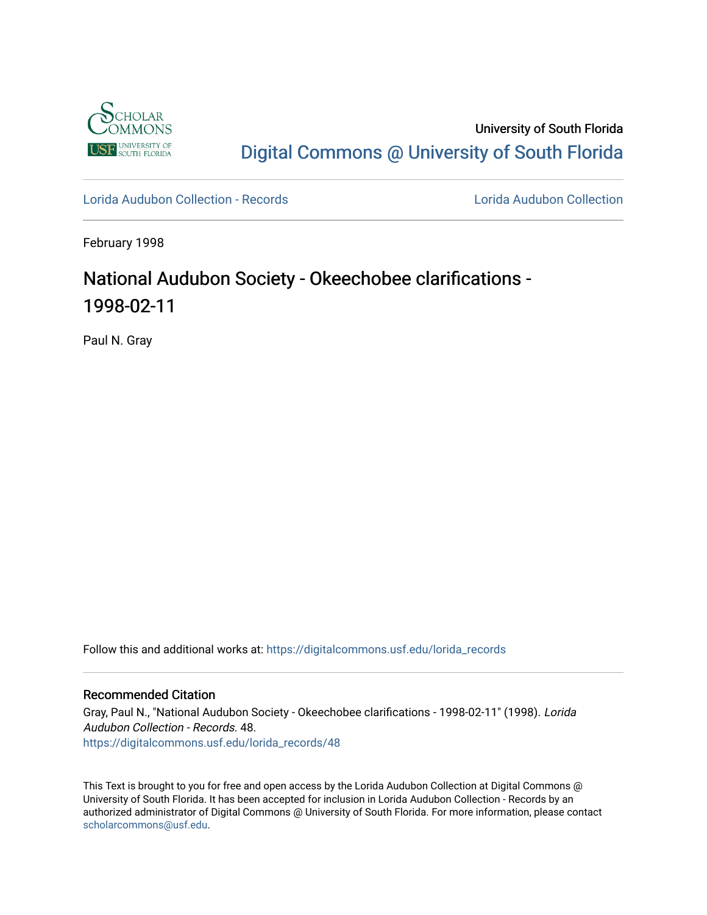

University of South Florida [Digital Commons @ University of South Florida](https://digitalcommons.usf.edu/) 

[Lorida Audubon Collection - Records](https://digitalcommons.usf.edu/lorida_records) [Lorida Audubon Collection](https://digitalcommons.usf.edu/lorida) 

February 1998

## National Audubon Society - Okeechobee clarifications - 1998-02-11

Paul N. Gray

Follow this and additional works at: [https://digitalcommons.usf.edu/lorida\\_records](https://digitalcommons.usf.edu/lorida_records?utm_source=digitalcommons.usf.edu%2Florida_records%2F48&utm_medium=PDF&utm_campaign=PDFCoverPages)

## Recommended Citation

Gray, Paul N., "National Audubon Society - Okeechobee clarifications - 1998-02-11" (1998). Lorida Audubon Collection - Records. 48. [https://digitalcommons.usf.edu/lorida\\_records/48](https://digitalcommons.usf.edu/lorida_records/48?utm_source=digitalcommons.usf.edu%2Florida_records%2F48&utm_medium=PDF&utm_campaign=PDFCoverPages) 

This Text is brought to you for free and open access by the Lorida Audubon Collection at Digital Commons @ University of South Florida. It has been accepted for inclusion in Lorida Audubon Collection - Records by an authorized administrator of Digital Commons @ University of South Florida. For more information, please contact [scholarcommons@usf.edu.](mailto:scholarcommons@usf.edu)